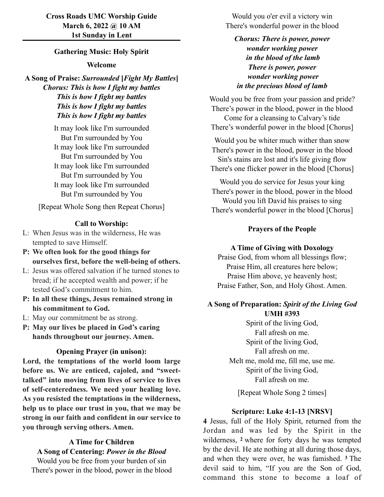### **Gathering Music: Holy Spirit**

#### **Welcome**

**A Song of Praise:** *Surrounded* **[***Fight My Battles***]** *Chorus: This is how I fight my battles This is how I fight my battles This is how I fight my battles This is how I fight my battles*

> It may look like I'm surrounded But I'm surrounded by You It may look like I'm surrounded But I'm surrounded by You It may look like I'm surrounded But I'm surrounded by You It may look like I'm surrounded But I'm surrounded by You

[Repeat Whole Song then Repeat Chorus]

#### **Call to Worship:**

- L: When Jesus was in the wilderness, He was tempted to save Himself.
- **P: We often look for the good things for ourselves first, before the well-being of others.**
- L: Jesus was offered salvation if he turned stones to bread; if he accepted wealth and power; if he tested God's commitment to him.
- **P: In all these things, Jesus remained strong in his commitment to God.**
- L: May our commitment be as strong.
- **P: May our lives be placed in God's caring hands throughout our journey. Amen.**

### **Opening Prayer (in unison):**

**Lord, the temptations of the world loom large before us. We are enticed, cajoled, and "sweettalked" into moving from lives of service to lives of self-centeredness. We need your healing love. As you resisted the temptations in the wilderness, help us to place our trust in you, that we may be strong in our faith and confident in our service to you through serving others. Amen.**

### **A Time for Children**

**A Song of Centering:** *Power in the Blood*

Would you be free from your burden of sin There's power in the blood, power in the blood

Would you o'er evil a victory win There's wonderful power in the blood

*Chorus: There is power, power wonder working power in the blood of the lamb There is power, power wonder working power in the precious blood of lamb*

Would you be free from your passion and pride? There's power in the blood, power in the blood Come for a cleansing to Calvary's tide There's wonderful power in the blood [Chorus]

Would you be whiter much wither than snow There's power in the blood, power in the blood Sin's stains are lost and it's life giving flow There's one flicker power in the blood [Chorus]

Would you do service for Jesus your king There's power in the blood, power in the blood Would you lift David his praises to sing There's wonderful power in the blood [Chorus]

#### **Prayers of the People**

#### **A Time of Giving with Doxology**

Praise God, from whom all blessings flow; Praise Him, all creatures here below; Praise Him above, ye heavenly host; Praise Father, Son, and Holy Ghost. Amen.

## **A Song of Preparation:** *Spirit of the Living God* **UMH #393**

Spirit of the living God, Fall afresh on me. Spirit of the living God, Fall afresh on me. Melt me, mold me, fill me, use me. Spirit of the living God, Fall afresh on me.

[Repeat Whole Song 2 times]

#### **Scripture: Luke 4:1-13 [NRSV]**

**4** Jesus, full of the Holy Spirit, returned from the Jordan and was led by the Spirit in the wilderness, **2** where for forty days he was tempted by the devil. He ate nothing at all during those days, and when they were over, he was famished. **3** The devil said to him, "If you are the Son of God, command this stone to become a loaf of